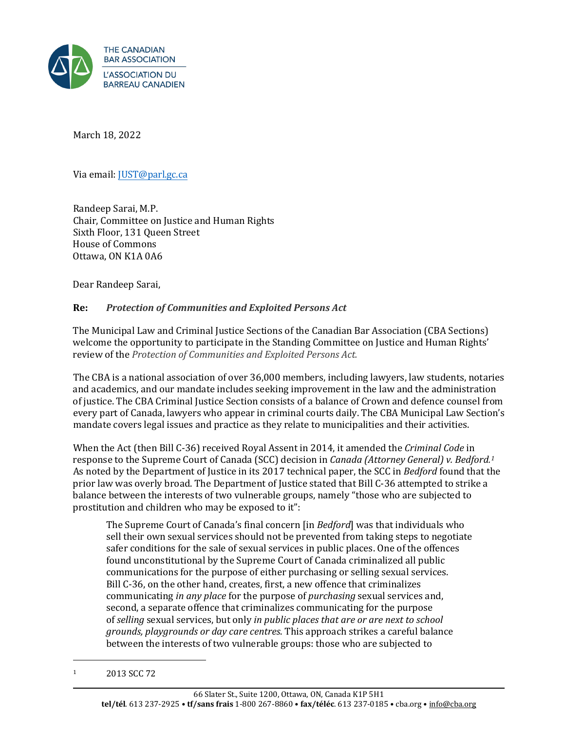

March 18, 2022

Via email: [JUST@parl.gc.ca](mailto:JUST@parl.gc.ca)

Randeep Sarai, M.P. Chair, Committee on Justice and Human Rights Sixth Floor, 131 Queen Street House of Commons Ottawa, ON K1A 0A6

Dear Randeep Sarai,

#### **Re:** *Protection of Communities and Exploited Persons Act*

The Municipal Law and Criminal Justice Sections of the Canadian Bar Association (CBA Sections) welcome the opportunity to participate in the Standing Committee on Justice and Human Rights' review of the *Protection of Communities and Exploited Persons Act.*

The CBA is a national association of over 36,000 members, including lawyers, law students, notaries and academics, and our mandate includes seeking improvement in the law and the administration of justice. The CBA Criminal Justice Section consists of a balance of Crown and defence counsel from every part of Canada, lawyers who appear in criminal courts daily. The CBA Municipal Law Section's mandate covers legal issues and practice as they relate to municipalities and their activities.

When the Act (then Bill C-36) received Royal Assent in 2014, it amended the *Criminal Code* in response to the Supreme Court of Canada (SCC) decision in *Canada (Attorney General) v. Bedford. 1* As noted by the Department of Justice in its 2017 technical paper, the SCC in *Bedford* found that the prior law was overly broad. The Department of Justice stated that Bill C-36 attempted to strike a balance between the interests of two vulnerable groups, namely "those who are subjected to prostitution and children who may be exposed to it":

The Supreme Court of Canada's final concern [in *Bedford*] was that individuals who sell their own sexual services should not be prevented from taking steps to negotiate safer conditions for the sale of sexual services in public places. One of the offences found unconstitutional by the Supreme Court of Canada criminalized all public communications for the purpose of either purchasing or selling sexual services. Bill C-36, on the other hand, creates, first, a new offence that criminalizes communicating *in any place* for the purpose of *purchasing* sexual services and, second, a separate offence that criminalizes communicating for the purpose of *selling* sexual services, but only *in public places that are or are next to school grounds, playgrounds or day care centres*. This approach strikes a careful balance between the interests of two vulnerable groups: those who are subjected to

<sup>1</sup> 2013 SCC 72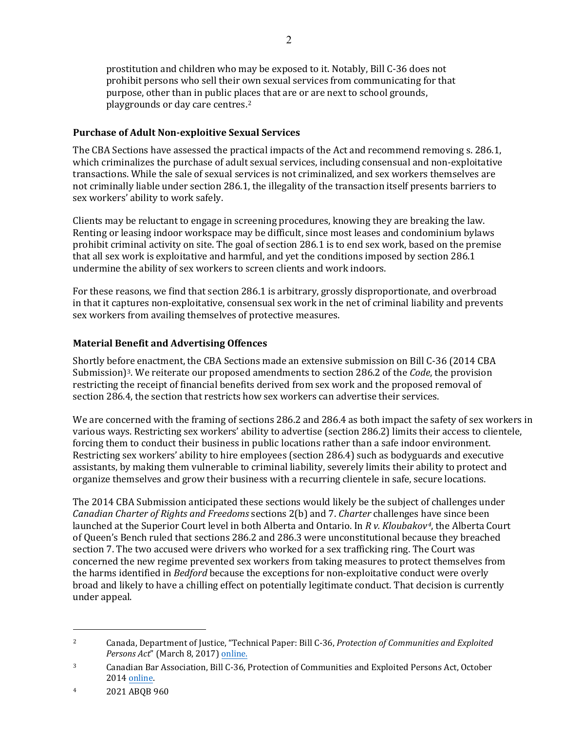prostitution and children who may be exposed to it. Notably, Bill C-36 does not prohibit persons who sell their own sexual services from communicating for that purpose, other than in public places that are or are next to school grounds, playgrounds or day care centres.2

#### **Purchase of Adult Non-exploitive Sexual Services**

The CBA Sections have assessed the practical impacts of the Act and recommend removing s. 286.1, which criminalizes the purchase of adult sexual services, including consensual and non-exploitative transactions. While the sale of sexual services is not criminalized, and sex workers themselves are not criminally liable under section 286.1, the illegality of the transaction itself presents barriers to sex workers' ability to work safely.

Clients may be reluctant to engage in screening procedures, knowing they are breaking the law. Renting or leasing indoor workspace may be difficult, since most leases and condominium bylaws prohibit criminal activity on site. The goal of section 286.1 is to end sex work, based on the premise that all sex work is exploitative and harmful, and yet the conditions imposed by section 286.1 undermine the ability of sex workers to screen clients and work indoors.

For these reasons, we find that section 286.1 is arbitrary, grossly disproportionate, and overbroad in that it captures non-exploitative, consensual sex work in the net of criminal liability and prevents sex workers from availing themselves of protective measures.

## **Material Benefit and Advertising Offences**

Shortly before enactment, the CBA Sections made an extensive submission on Bill C-36 (2014 CBA Submission)3. We reiterate our proposed amendments to section 286.2 of the *Code*, the provision restricting the receipt of financial benefits derived from sex work and the proposed removal of section 286.4, the section that restricts how sex workers can advertise their services.

We are concerned with the framing of sections 286.2 and 286.4 as both impact the safety of sex workers in various ways. Restricting sex workers' ability to advertise (section 286.2) limits their access to clientele, forcing them to conduct their business in public locations rather than a safe indoor environment. Restricting sex workers' ability to hire employees (section 286.4) such as bodyguards and executive assistants, by making them vulnerable to criminal liability, severely limits their ability to protect and organize themselves and grow their business with a recurring clientele in safe, secure locations.

The 2014 CBA Submission anticipated these sections would likely be the subject of challenges under *Canadian Charter of Rights and Freedoms* sections 2(b) and 7. *Charter* challenges have since been launched at the Superior Court level in both Alberta and Ontario. In *R v. Kloubakov4*, the Alberta Court of Queen's Bench ruled that sections 286.2 and 286.3 were unconstitutional because they breached section 7. The two accused were drivers who worked for a sex trafficking ring. The Court was concerned the new regime prevented sex workers from taking measures to protect themselves from the harms identified in *Bedford* because the exceptions for non-exploitative conduct were overly broad and likely to have a chilling effect on potentially legitimate conduct. That decision is currently under appeal.

<sup>2</sup> Canada, Department of Justice, "Technical Paper: Bill C-36, *Protection of Communities and Exploited Persons Act*" (March 8, 2017) [online.](https://www.justice.gc.ca/eng/rp-pr/other-autre/protect/p1.html)

<sup>3</sup> Canadian Bar Association, Bill C-36, Protection of Communities and Exploited Persons Act, October 2014 [online.](https://www.cba.org/CMSPages/GetFile.aspx?guid=506f61b6-ecdb-441d-9879-f4a1f3bd3f04)

<sup>4</sup> 2021 ABQB 960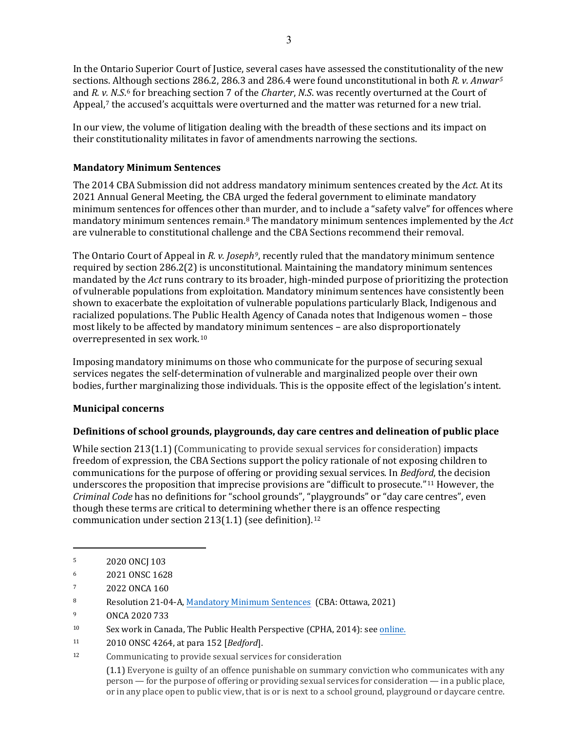In the Ontario Superior Court of Justice, several cases have assessed the constitutionality of the new sections. Although sections 286.2, 286.3 and 286.4 were found unconstitutional in both *R. v. Anwar5* and *R. v. N.S*.6 for breaching section 7 of the *Charter*, *N.S*. was recently overturned at the Court of Appeal,<sup>7</sup> the accused's acquittals were overturned and the matter was returned for a new trial.

In our view, the volume of litigation dealing with the breadth of these sections and its impact on their constitutionality militates in favor of amendments narrowing the sections.

# **Mandatory Minimum Sentences**

The 2014 CBA Submission did not address mandatory minimum sentences created by the *Act*. At its 2021 Annual General Meeting, the CBA urged the federal government to eliminate mandatory minimum sentences for offences other than murder, and to include a "safety valve" for offences where mandatory minimum sentences remain.8 The mandatory minimum sentences implemented by the *Act* are vulnerable to constitutional challenge and the CBA Sections recommend their removal.

The Ontario Court of Appeal in *R. v. Joseph9*, recently ruled that the mandatory minimum sentence required by section 286.2(2) is unconstitutional. Maintaining the mandatory minimum sentences mandated by the *Act* runs contrary to its broader, high-minded purpose of prioritizing the protection of vulnerable populations from exploitation. Mandatory minimum sentences have consistently been shown to exacerbate the exploitation of vulnerable populations particularly Black, Indigenous and racialized populations. The Public Health Agency of Canada notes that Indigenous women – those most likely to be affected by mandatory minimum sentences – are also disproportionately overrepresented in sex work.10

Imposing mandatory minimums on those who communicate for the purpose of securing sexual services negates the self-determination of vulnerable and marginalized people over their own bodies, further marginalizing those individuals. This is the opposite effect of the legislation's intent.

## **Municipal concerns**

## **Definitions of school grounds, playgrounds, day care centres and delineation of public place**

While section 213(1.1) (Communicating to provide sexual services for consideration) impacts freedom of expression, the CBA Sections support the policy rationale of not exposing children to communications for the purpose of offering or providing sexual services. In *Bedford*, the decision underscores the proposition that imprecise provisions are "difficult to prosecute."11 However, the *Criminal Code* has no definitions for "school grounds", "playgrounds" or "day care centres", even though these terms are critical to determining whether there is an offence respecting communication under section 213(1.1) (see definition).12

<sup>12</sup> Communicating to provide sexual services for consideration

(1.1) Everyone is guilty of an offence punishable on summary conviction who communicates with any person — for the purpose of offering or providing sexual services for consideration — in a public place, or in any place open to public view, that is or is next to a school ground, playground or daycare centre.

<sup>5</sup> 2020 ONCJ 103

<sup>6</sup> 2021 ONSC 1628

<sup>7</sup> 2022 ONCA 160

<sup>8</sup> Resolution 21-04-A, [Mandatory](https://www.cba.org/getattachment/Our-Work/Resolutions/Resolutions/2021/Mandatory-Minimum-Sentences/21-04-A.pdf) Minimum Sentences (CBA: Ottawa, 2021)

<sup>9</sup> ONCA 2020 733

<sup>10</sup> Sex work in Canada, The Public Health Perspective (CPHA, 2014): see [online.](https://www.cpha.ca/sites/default/files/assets/policy/sex-work_e.pdf)

<sup>11</sup> 2010 ONSC 4264, at para 152 [*Bedford*].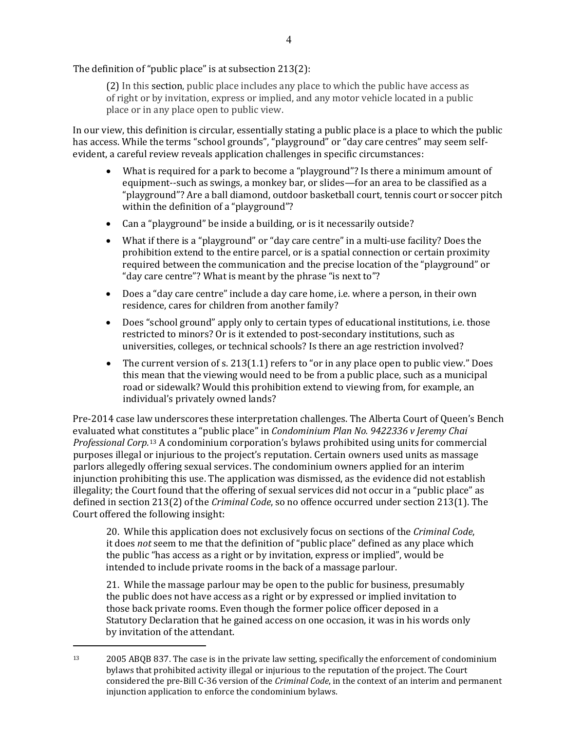The definition of "public place" is at subsection 213(2):

(2) In this section, public place includes any place to which the public have access as of right or by invitation, express or implied, and any motor vehicle located in a public place or in any place open to public view.

In our view, this definition is circular, essentially stating a public place is a place to which the public has access. While the terms "school grounds", "playground" or "day care centres" may seem selfevident, a careful review reveals application challenges in specific circumstances:

- What is required for a park to become a "playground"? Is there a minimum amount of equipment--such as swings, a monkey bar, or slides—for an area to be classified as a "playground"? Are a ball diamond, outdoor basketball court, tennis court or soccer pitch within the definition of a "playground"?
- Can a "playground" be inside a building, or is it necessarily outside?
- What if there is a "playground" or "day care centre" in a multi-use facility? Does the prohibition extend to the entire parcel, or is a spatial connection or certain proximity required between the communication and the precise location of the "playground" or "day care centre"? What is meant by the phrase "is next to"?
- Does a "day care centre" include a day care home, i.e. where a person, in their own residence, cares for children from another family?
- Does "school ground" apply only to certain types of educational institutions, i.e. those restricted to minors? Or is it extended to post-secondary institutions, such as universities, colleges, or technical schools? Is there an age restriction involved?
- The current version of s. 213(1.1) refers to "or in any place open to public view." Does this mean that the viewing would need to be from a public place, such as a municipal road or sidewalk? Would this prohibition extend to viewing from, for example, an individual's privately owned lands?

Pre-2014 case law underscores these interpretation challenges. The Alberta Court of Queen's Bench evaluated what constitutes a "public place" in *Condominium Plan No. 9422336 v Jeremy Chai Professional Corp.*13 A condominium corporation's bylaws prohibited using units for commercial purposes illegal or injurious to the project's reputation. Certain owners used units as massage parlors allegedly offering sexual services. The condominium owners applied for an interim injunction prohibiting this use. The application was dismissed, as the evidence did not establish illegality; the Court found that the offering of sexual services did not occur in a "public place" as defined in section 213(2) of the *Criminal Code*, so no offence occurred under section 213(1). The Court offered the following insight:

20. While this application does not exclusively focus on sections of the *Criminal Code*, it does *not* seem to me that the definition of "public place" defined as any place which the public "has access as a right or by invitation, express or implied", would be intended to include private rooms in the back of a massage parlour.

21. While the massage parlour may be open to the public for business, presumably the public does not have access as a right or by expressed or implied invitation to those back private rooms. Even though the former police officer deposed in a Statutory Declaration that he gained access on one occasion, it was in his words only by invitation of the attendant.

<sup>13</sup> 2005 ABQB 837. The case is in the private law setting, specifically the enforcement of condominium bylaws that prohibited activity illegal or injurious to the reputation of the project. The Court considered the pre-Bill C-36 version of the *Criminal Code*, in the context of an interim and permanent injunction application to enforce the condominium bylaws.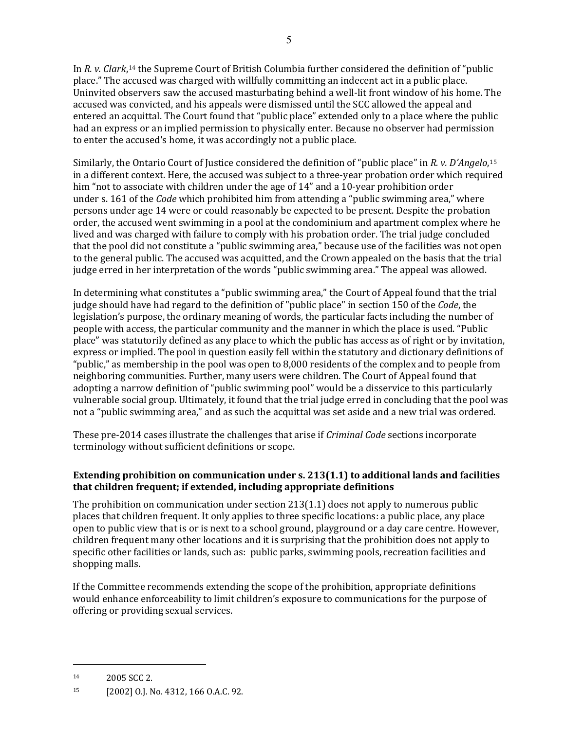In *R. v. Clark*,14 the Supreme Court of British Columbia further considered the definition of "public place." The accused was charged with willfully committing an indecent act in a public place. Uninvited observers saw the accused masturbating behind a well-lit front window of his home. The accused was convicted, and his appeals were dismissed until the SCC allowed the appeal and entered an acquittal. The Court found that "public place" extended only to a place where the public had an express or an implied permission to physically enter. Because no observer had permission to enter the accused's home, it was accordingly not a public place.

Similarly, the Ontario Court of Justice considered the definition of "public place" in *R. v. D'Angelo*,15 in a different context. Here, the accused was subject to a three-year probation order which required him "not to associate with children under the age of 14" and a 10-year prohibition order under s. 161 of the *Code* which prohibited him from attending a "public swimming area," where persons under age 14 were or could reasonably be expected to be present. Despite the probation order, the accused went swimming in a pool at the condominium and apartment complex where he lived and was charged with failure to comply with his probation order. The trial judge concluded that the pool did not constitute a "public swimming area," because use of the facilities was not open to the general public. The accused was acquitted, and the Crown appealed on the basis that the trial judge erred in her interpretation of the words "public swimming area." The appeal was allowed.

In determining what constitutes a "public swimming area," the Court of Appeal found that the trial judge should have had regard to the definition of "public place" in section 150 of the *Code*, the legislation's purpose, the ordinary meaning of words, the particular facts including the number of people with access, the particular community and the manner in which the place is used. "Public place" was statutorily defined as any place to which the public has access as of right or by invitation, express or implied. The pool in question easily fell within the statutory and dictionary definitions of "public," as membership in the pool was open to 8,000 residents of the complex and to people from neighboring communities. Further, many users were children. The Court of Appeal found that adopting a narrow definition of "public swimming pool" would be a disservice to this particularly vulnerable social group. Ultimately, it found that the trial judge erred in concluding that the pool was not a "public swimming area," and as such the acquittal was set aside and a new trial was ordered.

These pre-2014 cases illustrate the challenges that arise if *Criminal Code* sections incorporate terminology without sufficient definitions or scope.

## **Extending prohibition on communication under s. 213(1.1) to additional lands and facilities that children frequent; if extended, including appropriate definitions**

The prohibition on communication under section 213(1.1) does not apply to numerous public places that children frequent. It only applies to three specific locations: a public place, any place open to public view that is or is next to a school ground, playground or a day care centre. However, children frequent many other locations and it is surprising that the prohibition does not apply to specific other facilities or lands, such as: public parks, swimming pools, recreation facilities and shopping malls.

If the Committee recommends extending the scope of the prohibition, appropriate definitions would enhance enforceability to limit children's exposure to communications for the purpose of offering or providing sexual services.

<sup>14</sup> 2005 SCC 2.

<sup>15</sup> [2002] O.J. No. 4312, 166 O.A.C. 92.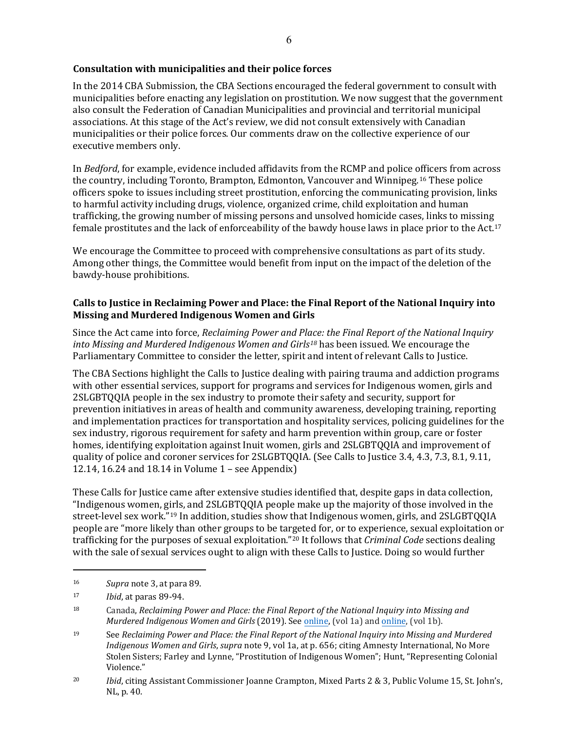## **Consultation with municipalities and their police forces**

In the 2014 CBA Submission, the CBA Sections encouraged the federal government to consult with municipalities before enacting any legislation on prostitution. We now suggest that the government also consult the Federation of Canadian Municipalities and provincial and territorial municipal associations. At this stage of the Act's review, we did not consult extensively with Canadian municipalities or their police forces. Our comments draw on the collective experience of our executive members only.

In *Bedford*, for example, evidence included affidavits from the RCMP and police officers from across the country, including Toronto, Brampton, Edmonton, Vancouver and Winnipeg.16 These police officers spoke to issues including street prostitution, enforcing the communicating provision, links to harmful activity including drugs, violence, organized crime, child exploitation and human trafficking, the growing number of missing persons and unsolved homicide cases, links to missing female prostitutes and the lack of enforceability of the bawdy house laws in place prior to the Act.17

We encourage the Committee to proceed with comprehensive consultations as part of its study. Among other things, the Committee would benefit from input on the impact of the deletion of the bawdy-house prohibitions.

## **Calls to Justice in Reclaiming Power and Place: the Final Report of the National Inquiry into Missing and Murdered Indigenous Women and Girls**

Since the Act came into force, *Reclaiming Power and Place: the Final Report of the National Inquiry into Missing and Murdered Indigenous Women and Girls18* has been issued. We encourage the Parliamentary Committee to consider the letter, spirit and intent of relevant Calls to Justice.

The CBA Sections highlight the Calls to Justice dealing with pairing trauma and addiction programs with other essential services, support for programs and services for Indigenous women, girls and 2SLGBTQQIA people in the sex industry to promote their safety and security, support for prevention initiatives in areas of health and community awareness, developing training, reporting and implementation practices for transportation and hospitality services, policing guidelines for the sex industry, rigorous requirement for safety and harm prevention within group, care or foster homes, identifying exploitation against Inuit women, girls and 2SLGBTQQIA and improvement of quality of police and coroner services for 2SLGBTQQIA. (See Calls to Justice 3.4, 4.3, 7.3, 8.1, 9.11, 12.14, 16.24 and 18.14 in Volume 1 – see Appendix)

These Calls for Justice came after extensive studies identified that, despite gaps in data collection, "Indigenous women, girls, and 2SLGBTQQIA people make up the majority of those involved in the street-level sex work."19 In addition, studies show that Indigenous women, girls, and 2SLGBTQQIA people are "more likely than other groups to be targeted for, or to experience, sexual exploitation or trafficking for the purposes of sexual exploitation."20 It follows that *Criminal Code* sections dealing with the sale of sexual services ought to align with these Calls to Justice. Doing so would further

<sup>16</sup> *Supra* note 3, at para 89.

<sup>17</sup> *Ibid*, at paras 89-94.

<sup>18</sup> Canada, *Reclaiming Power and Place: the Final Report of the National Inquiry into Missing and Murdered Indigenous Women and Girls* (2019). See [online,](https://www.mmiwg-ffada.ca/wp-content/uploads/2019/06/Final_Report_Vol_1a-1.pdf) (vol 1a) and [online,](https://www.mmiwg-ffada.ca/wp-content/uploads/2019/06/Final_Report_Vol_1b.pdf) (vol 1b).

<sup>19</sup> See *Reclaiming Power and Place: the Final Report of the National Inquiry into Missing and Murdered Indigenous Women and Girls*, *supra* note 9, vol 1a, at p. 656; citing Amnesty International, No More Stolen Sisters; Farley and Lynne, "Prostitution of Indigenous Women"; Hunt, "Representing Colonial Violence."

<sup>20</sup> *Ibid*, citing Assistant Commissioner Joanne Crampton, Mixed Parts 2 & 3, Public Volume 15, St. John's, NL, p. 40.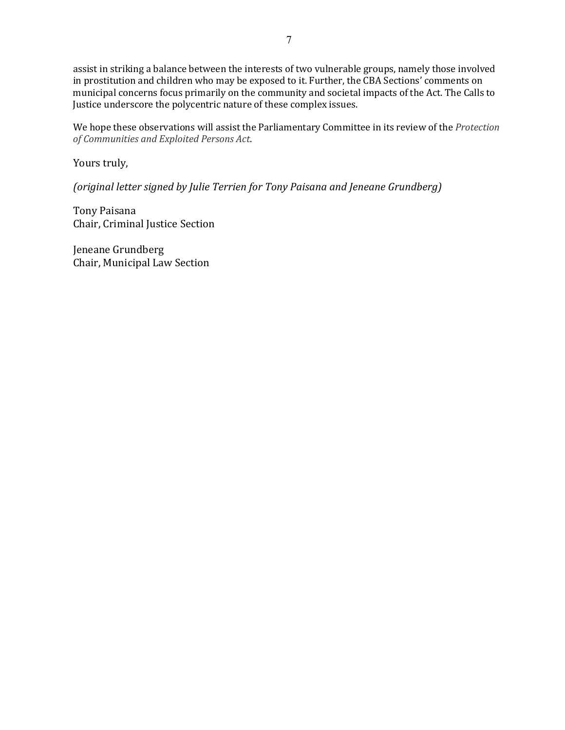assist in striking a balance between the interests of two vulnerable groups, namely those involved in prostitution and children who may be exposed to it. Further, the CBA Sections' comments on municipal concerns focus primarily on the community and societal impacts of the Act. The Calls to Justice underscore the polycentric nature of these complex issues.

We hope these observations will assist the Parliamentary Committee in its review of the *Protection of Communities and Exploited Persons Act*.

Yours truly,

*(original letter signed by Julie Terrien for Tony Paisana and Jeneane Grundberg)* 

Tony Paisana Chair, Criminal Justice Section

Jeneane Grundberg Chair, Municipal Law Section